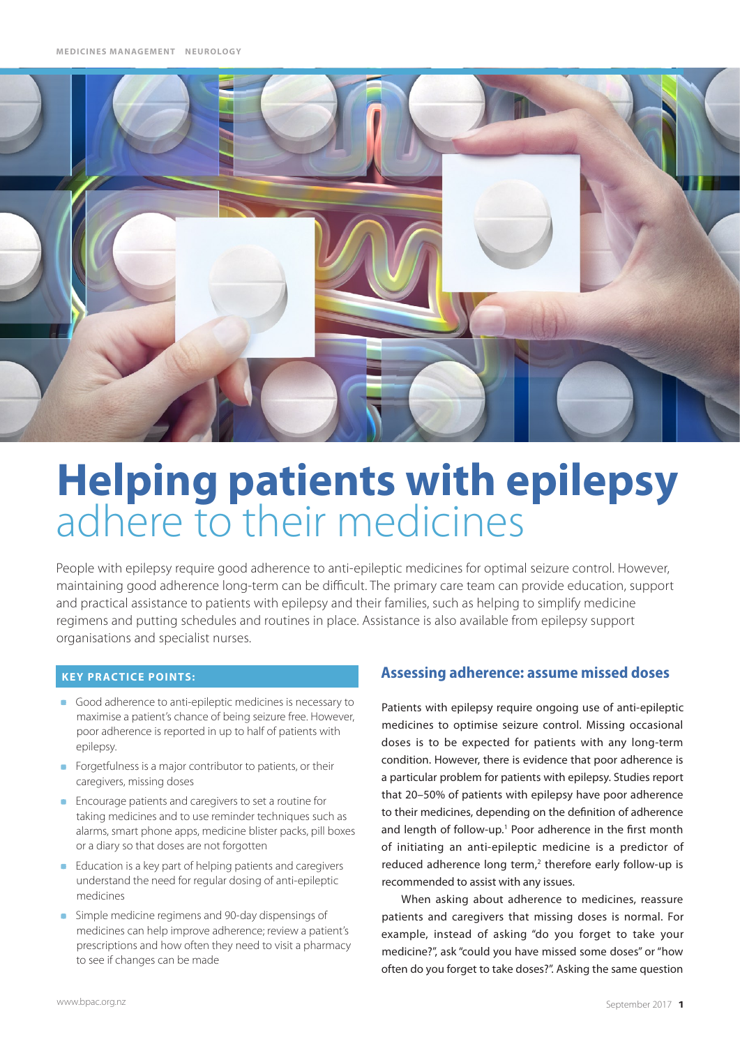

# **Helping patients with epilepsy**  adhere to their medicines

People with epilepsy require good adherence to anti-epileptic medicines for optimal seizure control. However, maintaining good adherence long-term can be difficult. The primary care team can provide education, support and practical assistance to patients with epilepsy and their families, such as helping to simplify medicine regimens and putting schedules and routines in place. Assistance is also available from epilepsy support organisations and specialist nurses.

## **Key practice points:**

- Good adherence to anti-epileptic medicines is necessary to maximise a patient's chance of being seizure free. However, poor adherence is reported in up to half of patients with epilepsy.
- **Forgetfulness is a major contributor to patients, or their** caregivers, missing doses
- **Encourage patients and caregivers to set a routine for** taking medicines and to use reminder techniques such as alarms, smart phone apps, medicine blister packs, pill boxes or a diary so that doses are not forgotten
- Education is a key part of helping patients and caregivers  $\mathbf{r}$ understand the need for regular dosing of anti-epileptic medicines
- **Simple medicine regimens and 90-day dispensings of** medicines can help improve adherence; review a patient's prescriptions and how often they need to visit a pharmacy to see if changes can be made

# **Assessing adherence: assume missed doses**

Patients with epilepsy require ongoing use of anti-epileptic medicines to optimise seizure control. Missing occasional doses is to be expected for patients with any long-term condition. However, there is evidence that poor adherence is a particular problem for patients with epilepsy. Studies report that 20–50% of patients with epilepsy have poor adherence to their medicines, depending on the definition of adherence and length of follow-up.<sup>1</sup> Poor adherence in the first month of initiating an anti-epileptic medicine is a predictor of reduced adherence long term, $2$  therefore early follow-up is recommended to assist with any issues.

When asking about adherence to medicines, reassure patients and caregivers that missing doses is normal. For example, instead of asking "do you forget to take your medicine?", ask "could you have missed some doses" or "how often do you forget to take doses?". Asking the same question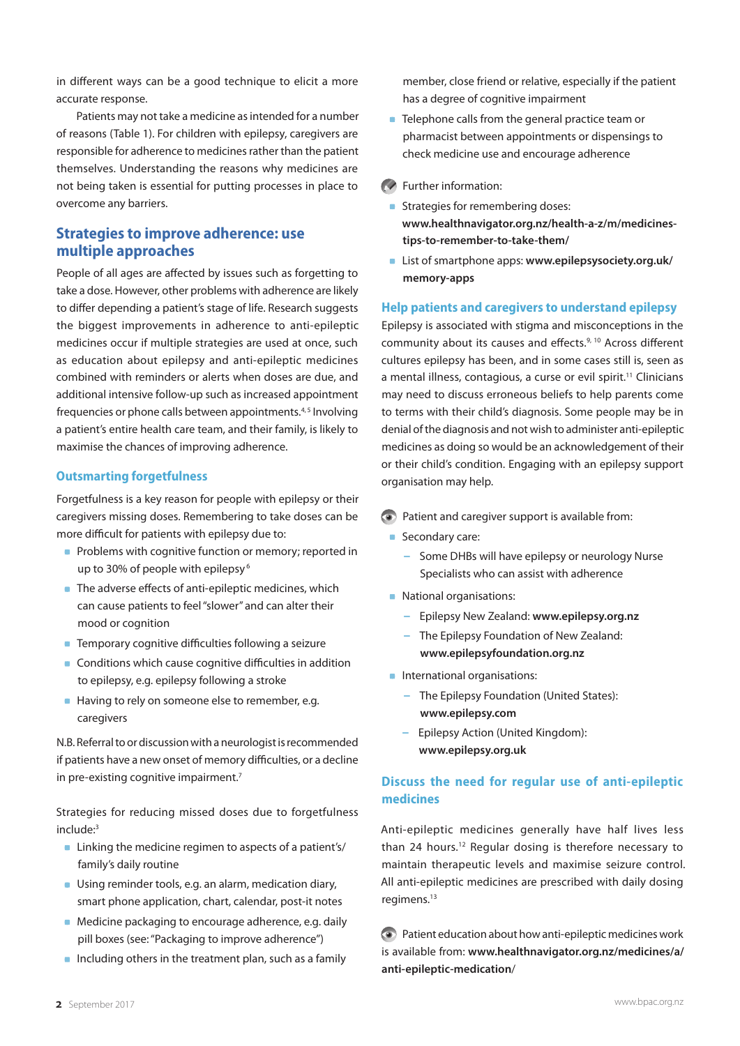in different ways can be a good technique to elicit a more accurate response.

Patients may not take a medicine as intended for a number of reasons (Table 1). For children with epilepsy, caregivers are responsible for adherence to medicines rather than the patient themselves. Understanding the reasons why medicines are not being taken is essential for putting processes in place to overcome any barriers.

# **Strategies to improve adherence: use multiple approaches**

People of all ages are affected by issues such as forgetting to take a dose. However, other problems with adherence are likely to differ depending a patient's stage of life. Research suggests the biggest improvements in adherence to anti-epileptic medicines occur if multiple strategies are used at once, such as education about epilepsy and anti-epileptic medicines combined with reminders or alerts when doses are due, and additional intensive follow-up such as increased appointment frequencies or phone calls between appointments.<sup>4,5</sup> Involving a patient's entire health care team, and their family, is likely to maximise the chances of improving adherence.

#### **Outsmarting forgetfulness**

Forgetfulness is a key reason for people with epilepsy or their caregivers missing doses. Remembering to take doses can be more difficult for patients with epilepsy due to:

- **Problems with cognitive function or memory; reported in** up to 30% of people with epilepsy <sup>6</sup>
- The adverse effects of anti-epileptic medicines, which can cause patients to feel "slower" and can alter their mood or cognition
- **Temporary cognitive difficulties following a seizure**
- **Conditions which cause cognitive difficulties in addition** to epilepsy, e.g. epilepsy following a stroke
- Having to rely on someone else to remember, e.g. caregivers

N.B. Referral to or discussion with a neurologist is recommended if patients have a new onset of memory difficulties, or a decline in pre-existing cognitive impairment.<sup>7</sup>

Strategies for reducing missed doses due to forgetfulness include:3

- **EXTERGH** Linking the medicine regimen to aspects of a patient's/ family's daily routine
- **Using reminder tools, e.g. an alarm, medication diary,** smart phone application, chart, calendar, post-it notes
- Medicine packaging to encourage adherence, e.g. daily pill boxes (see: "Packaging to improve adherence")
- Including others in the treatment plan, such as a family

member, close friend or relative, especially if the patient has a degree of cognitive impairment

- **Telephone calls from the general practice team or** pharmacist between appointments or dispensings to check medicine use and encourage adherence
- Further information:
- **Strategies for remembering doses: www.healthnavigator.org.nz/health-a-z/m/medicinestips-to-remember-to-take-them/**
- List of smartphone apps: **www.epilepsysociety.org.uk/ memory-apps**

#### **Help patients and caregivers to understand epilepsy**

Epilepsy is associated with stigma and misconceptions in the community about its causes and effects.<sup>9, 10</sup> Across different cultures epilepsy has been, and in some cases still is, seen as a mental illness, contagious, a curse or evil spirit.<sup>11</sup> Clinicians may need to discuss erroneous beliefs to help parents come to terms with their child's diagnosis. Some people may be in denial of the diagnosis and not wish to administer anti-epileptic medicines as doing so would be an acknowledgement of their or their child's condition. Engaging with an epilepsy support organisation may help.

- Patient and caregiver support is available from:
	- Secondary care:
		- Some DHBs will have epilepsy or neurology Nurse Specialists who can assist with adherence
	- **National organisations:** 
		- Epilepsy New Zealand: **www.epilepsy.org.nz**
		- The Epilepsy Foundation of New Zealand: **www.epilepsyfoundation.org.nz**
- **International organisations:** 
	- The Epilepsy Foundation (United States): **www.epilepsy.com**
	- Epilepsy Action (United Kingdom): **www.epilepsy.org.uk**

# **Discuss the need for regular use of anti-epileptic medicines**

Anti-epileptic medicines generally have half lives less than 24 hours.12 Regular dosing is therefore necessary to maintain therapeutic levels and maximise seizure control. All anti-epileptic medicines are prescribed with daily dosing regimens.13

Patient education about how anti-epileptic medicines work is available from: **www.healthnavigator.org.nz/medicines/a/ anti-epileptic-medication**/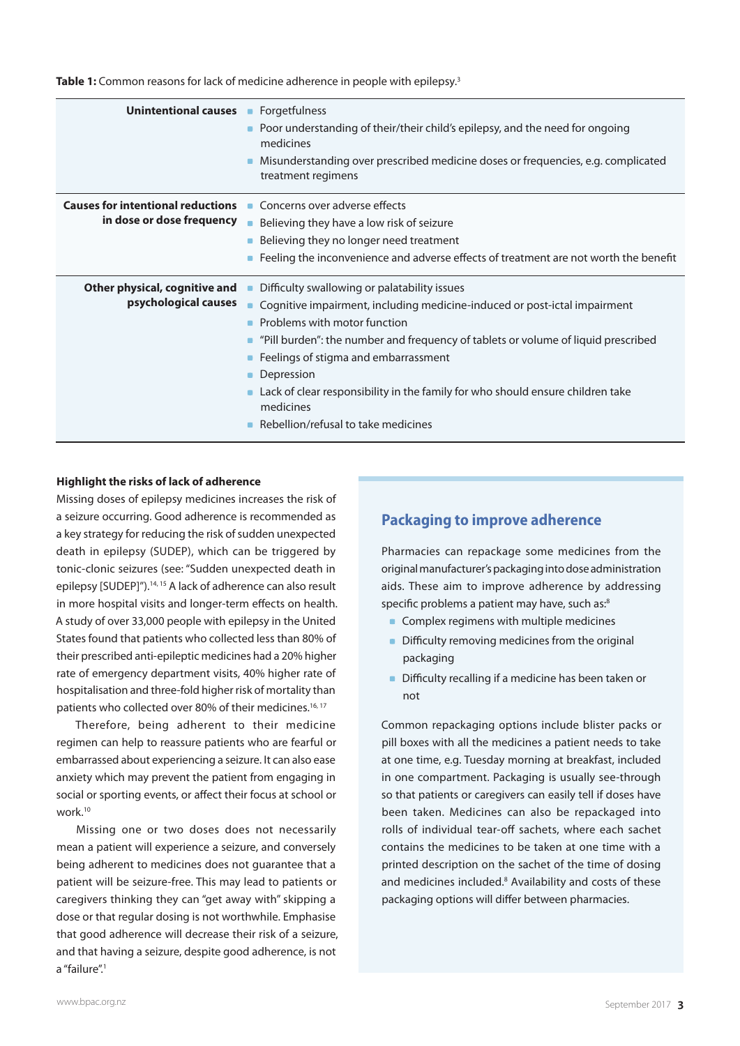Table 1: Common reasons for lack of medicine adherence in people with epilepsy.<sup>3</sup>

| <b>Unintentional causes • Forgetfulness</b>                           | Poor understanding of their/their child's epilepsy, and the need for ongoing<br>medicines<br>Misunderstanding over prescribed medicine doses or frequencies, e.g. complicated<br>treatment regimens                                                                                                                                                                                                                                                   |
|-----------------------------------------------------------------------|-------------------------------------------------------------------------------------------------------------------------------------------------------------------------------------------------------------------------------------------------------------------------------------------------------------------------------------------------------------------------------------------------------------------------------------------------------|
| <b>Causes for intentional reductions</b><br>in dose or dose frequency | Concerns over adverse effects<br>Believing they have a low risk of seizure<br>۰<br>Believing they no longer need treatment<br>Feeling the inconvenience and adverse effects of treatment are not worth the benefit                                                                                                                                                                                                                                    |
| Other physical, cognitive and<br>psychological causes                 | Difficulty swallowing or palatability issues<br>Cognitive impairment, including medicine-induced or post-ictal impairment<br><b>Problems with motor function</b><br>"Pill burden": the number and frequency of tablets or volume of liquid prescribed<br>• Feelings of stigma and embarrassment<br>• Depression<br>Lack of clear responsibility in the family for who should ensure children take<br>medicines<br>Rebellion/refusal to take medicines |

#### **Highlight the risks of lack of adherence**

Missing doses of epilepsy medicines increases the risk of a seizure occurring. Good adherence is recommended as a key strategy for reducing the risk of sudden unexpected death in epilepsy (SUDEP), which can be triggered by tonic-clonic seizures (see: "Sudden unexpected death in epilepsy [SUDEP]").<sup>14, 15</sup> A lack of adherence can also result in more hospital visits and longer-term effects on health. A study of over 33,000 people with epilepsy in the United States found that patients who collected less than 80% of their prescribed anti-epileptic medicines had a 20% higher rate of emergency department visits, 40% higher rate of hospitalisation and three-fold higher risk of mortality than patients who collected over 80% of their medicines.<sup>16, 17</sup>

Therefore, being adherent to their medicine regimen can help to reassure patients who are fearful or embarrassed about experiencing a seizure. It can also ease anxiety which may prevent the patient from engaging in social or sporting events, or affect their focus at school or work.10

Missing one or two doses does not necessarily mean a patient will experience a seizure, and conversely being adherent to medicines does not guarantee that a patient will be seizure-free. This may lead to patients or caregivers thinking they can "get away with" skipping a dose or that regular dosing is not worthwhile. Emphasise that good adherence will decrease their risk of a seizure, and that having a seizure, despite good adherence, is not a "failure".<sup>1</sup>

# **Packaging to improve adherence**

Pharmacies can repackage some medicines from the original manufacturer's packaging into dose administration aids. These aim to improve adherence by addressing specific problems a patient may have, such as:<sup>8</sup>

- **Complex regimens with multiple medicines**
- Difficulty removing medicines from the original packaging
- Difficulty recalling if a medicine has been taken or not

Common repackaging options include blister packs or pill boxes with all the medicines a patient needs to take at one time, e.g. Tuesday morning at breakfast, included in one compartment. Packaging is usually see-through so that patients or caregivers can easily tell if doses have been taken. Medicines can also be repackaged into rolls of individual tear-off sachets, where each sachet contains the medicines to be taken at one time with a printed description on the sachet of the time of dosing and medicines included.<sup>8</sup> Availability and costs of these packaging options will differ between pharmacies.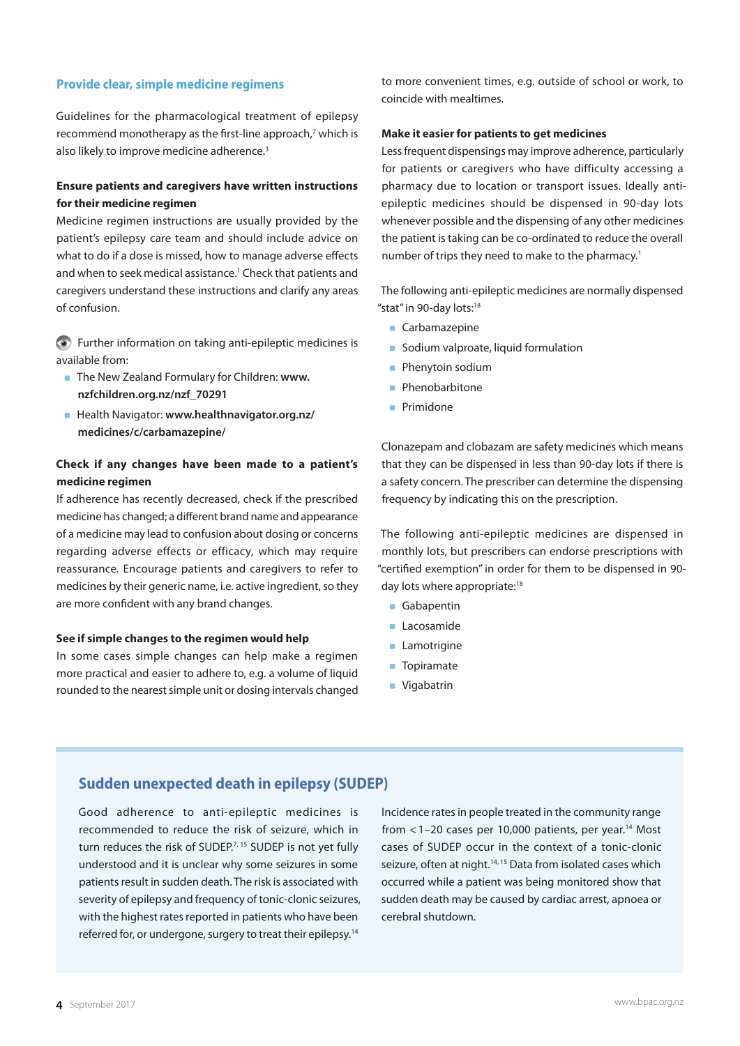#### **Provide clear, simple medicine regimens**

Guidelines for the pharmacological treatment of epilepsy recommend monotherapy as the first-line approach, $7$  which is also likely to improve medicine adherence.<sup>3</sup>

# **Ensure patients and caregivers have written instructions for their medicine regimen**

Medicine regimen instructions are usually provided by the patient's epilepsy care team and should include advice on what to do if a dose is missed, how to manage adverse effects and when to seek medical assistance.<sup>1</sup> Check that patients and caregivers understand these instructions and clarify any areas of confusion.

Further information on taking anti-epileptic medicines is available from:

- The New Zealand Formulary for Children: **www. nzfchildren.org.nz/nzf\_70291**
- Health Navigator: **www.healthnavigator.org.nz/ medicines/c/carbamazepine/**

## **Check if any changes have been made to a patient's medicine regimen**

If adherence has recently decreased, check if the prescribed medicine has changed; a different brand name and appearance of a medicine may lead to confusion about dosing or concerns regarding adverse effects or efficacy, which may require reassurance. Encourage patients and caregivers to refer to medicines by their generic name, i.e. active ingredient, so they are more confident with any brand changes.

#### **See if simple changes to the regimen would help**

In some cases simple changes can help make a regimen more practical and easier to adhere to, e.g. a volume of liquid rounded to the nearest simple unit or dosing intervals changed to more convenient times, e.g. outside of school or work, to coincide with mealtimes.

#### **Make it easier for patients to get medicines**

Less frequent dispensings may improve adherence, particularly for patients or caregivers who have difficulty accessing a pharmacy due to location or transport issues. Ideally antiepileptic medicines should be dispensed in 90-day lots whenever possible and the dispensing of any other medicines the patient is taking can be co-ordinated to reduce the overall number of trips they need to make to the pharmacy.<sup>1</sup>

The following anti-epileptic medicines are normally dispensed "stat" in 90-day lots:<sup>18</sup>

- **Carbamazepine**
- **Sodium valproate, liquid formulation**
- **Phenytoin sodium**
- **Phenobarbitone**
- **Primidone**

Clonazepam and clobazam are safety medicines which means that they can be dispensed in less than 90-day lots if there is a safety concern. The prescriber can determine the dispensing frequency by indicating this on the prescription.

The following anti-epileptic medicines are dispensed in monthly lots, but prescribers can endorse prescriptions with "certified exemption" in order for them to be dispensed in 90 day lots where appropriate:<sup>18</sup>

- **Gabapentin**
- **Lacosamide**
- **Lamotrigine**
- **Topiramate**
- **Vigabatrin**

# **Sudden unexpected death in epilepsy (SUDEP)**

Good adherence to anti-epileptic medicines is recommended to reduce the risk of seizure, which in turn reduces the risk of SUDEP.<sup>7, 15</sup> SUDEP is not yet fully understood and it is unclear why some seizures in some patients result in sudden death. The risk is associated with severity of epilepsy and frequency of tonic-clonic seizures, with the highest rates reported in patients who have been referred for, or undergone, surgery to treat their epilepsy.<sup>14</sup>

Incidence rates in people treated in the community range from  $<$  1–20 cases per 10,000 patients, per year.<sup>14</sup> Most cases of SUDEP occur in the context of a tonic-clonic seizure, often at night.<sup>14, 15</sup> Data from isolated cases which occurred while a patient was being monitored show that sudden death may be caused by cardiac arrest, apnoea or cerebral shutdown.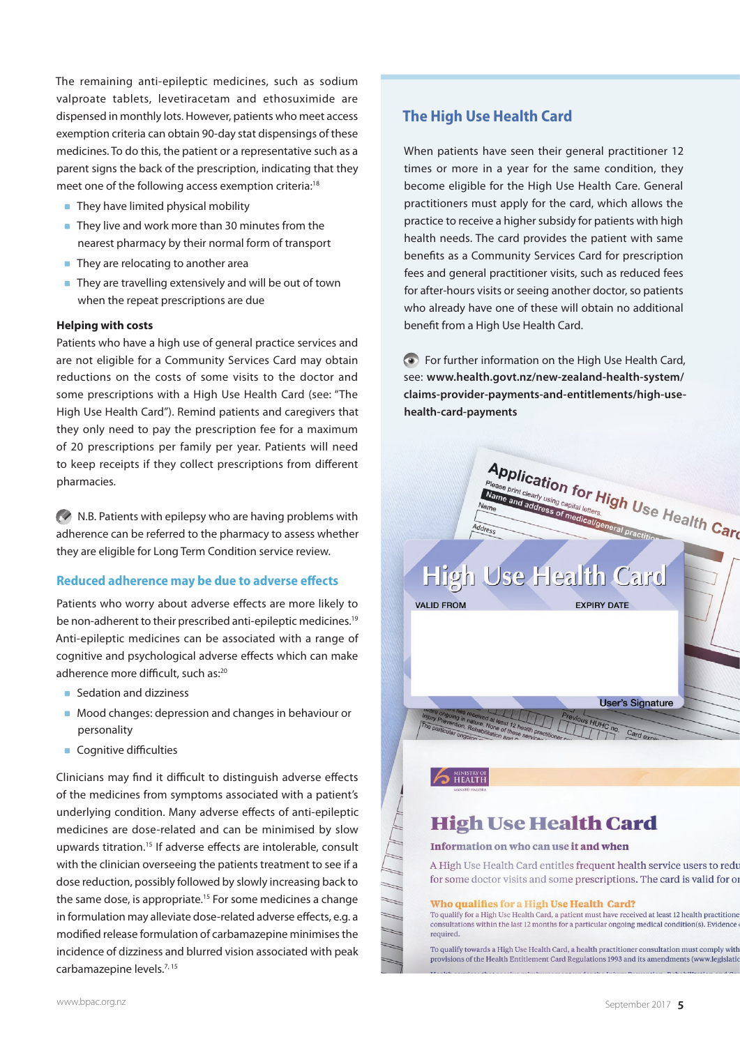The remaining anti-epileptic medicines, such as sodium valproate tablets, levetiracetam and ethosuximide are dispensed in monthly lots. However, patients who meet access exemption criteria can obtain 90-day stat dispensings of these medicines. To do this, the patient or a representative such as a parent signs the back of the prescription, indicating that they meet one of the following access exemption criteria:<sup>18</sup>

- **They have limited physical mobility**
- They live and work more than 30 minutes from the nearest pharmacy by their normal form of transport
- **They are relocating to another area**
- They are travelling extensively and will be out of town when the repeat prescriptions are due

#### **Helping with costs**

Patients who have a high use of general practice services and are not eligible for a Community Services Card may obtain reductions on the costs of some visits to the doctor and some prescriptions with a High Use Health Card (see: "The High Use Health Card"). Remind patients and caregivers that they only need to pay the prescription fee for a maximum of 20 prescriptions per family per year. Patients will need to keep receipts if they collect prescriptions from different pharmacies.

 $\bullet$  N.B. Patients with epilepsy who are having problems with adherence can be referred to the pharmacy to assess whether they are eligible for Long Term Condition service review.

## **Reduced adherence may be due to adverse effects**

Patients who worry about adverse effects are more likely to be non-adherent to their prescribed anti-epileptic medicines.<sup>19</sup> Anti-epileptic medicines can be associated with a range of cognitive and psychological adverse effects which can make adherence more difficult, such as:<sup>20</sup>

- Sedation and dizziness
- **Mood changes: depression and changes in behaviour or** personality
- **Cognitive difficulties**

Clinicians may find it difficult to distinguish adverse effects of the medicines from symptoms associated with a patient's underlying condition. Many adverse effects of anti-epileptic medicines are dose-related and can be minimised by slow upwards titration.15 If adverse effects are intolerable, consult with the clinician overseeing the patients treatment to see if a dose reduction, possibly followed by slowly increasing back to the same dose, is appropriate.15 For some medicines a change in formulation may alleviate dose-related adverse effects, e.g. a modified release formulation of carbamazepine minimises the incidence of dizziness and blurred vision associated with peak carbamazepine levels.<sup>7, 15</sup>

# **The High Use Health Card**

When patients have seen their general practitioner 12 times or more in a year for the same condition, they become eligible for the High Use Health Care. General practitioners must apply for the card, which allows the practice to receive a higher subsidy for patients with high health needs. The card provides the patient with same benefits as a Community Services Card for prescription fees and general practitioner visits, such as reduced fees for after-hours visits or seeing another doctor, so patients who already have one of these will obtain no additional benefit from a High Use Health Card.

**• For further information on the High Use Health Card,** see: **www.health.govt.nz/new-zealand-health-system/ claims-provider-payments-and-entitlements/high-usehealth-card-payments**



To qualify towards a High Use Health Card, a health practitioner consultation must comply with provisions of the Health Entitlement Card Regulations 1993 and its amendments (www.legislations)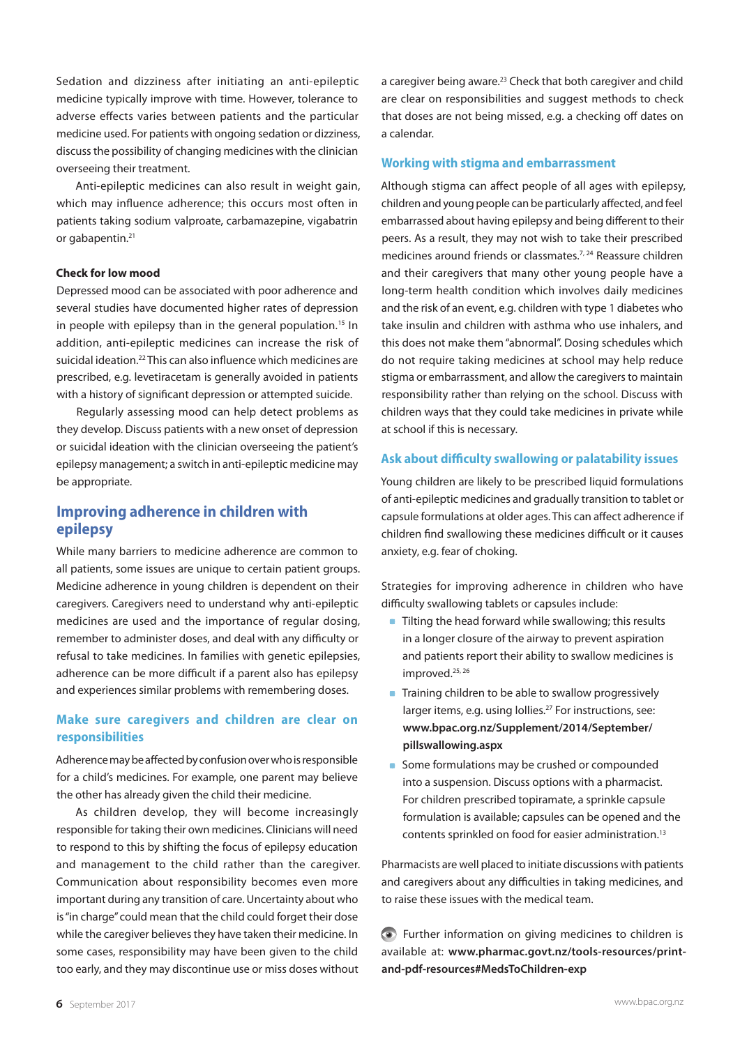Sedation and dizziness after initiating an anti-epileptic medicine typically improve with time. However, tolerance to adverse effects varies between patients and the particular medicine used. For patients with ongoing sedation or dizziness, discuss the possibility of changing medicines with the clinician overseeing their treatment.

Anti-epileptic medicines can also result in weight gain, which may influence adherence; this occurs most often in patients taking sodium valproate, carbamazepine, vigabatrin or gabapentin.<sup>21</sup>

#### **Check for low mood**

Depressed mood can be associated with poor adherence and several studies have documented higher rates of depression in people with epilepsy than in the general population.<sup>15</sup> In addition, anti-epileptic medicines can increase the risk of suicidal ideation.<sup>22</sup> This can also influence which medicines are prescribed, e.g. levetiracetam is generally avoided in patients with a history of significant depression or attempted suicide.

Regularly assessing mood can help detect problems as they develop. Discuss patients with a new onset of depression or suicidal ideation with the clinician overseeing the patient's epilepsy management; a switch in anti-epileptic medicine may be appropriate.

# **Improving adherence in children with epilepsy**

While many barriers to medicine adherence are common to all patients, some issues are unique to certain patient groups. Medicine adherence in young children is dependent on their caregivers. Caregivers need to understand why anti-epileptic medicines are used and the importance of regular dosing, remember to administer doses, and deal with any difficulty or refusal to take medicines. In families with genetic epilepsies, adherence can be more difficult if a parent also has epilepsy and experiences similar problems with remembering doses.

# **Make sure caregivers and children are clear on responsibilities**

Adherence may be affected by confusion over who is responsible for a child's medicines. For example, one parent may believe the other has already given the child their medicine.

As children develop, they will become increasingly responsible for taking their own medicines. Clinicians will need to respond to this by shifting the focus of epilepsy education and management to the child rather than the caregiver. Communication about responsibility becomes even more important during any transition of care. Uncertainty about who is "in charge" could mean that the child could forget their dose while the caregiver believes they have taken their medicine. In some cases, responsibility may have been given to the child too early, and they may discontinue use or miss doses without

a caregiver being aware.<sup>23</sup> Check that both caregiver and child are clear on responsibilities and suggest methods to check that doses are not being missed, e.g. a checking off dates on a calendar.

#### **Working with stigma and embarrassment**

Although stigma can affect people of all ages with epilepsy, children and young people can be particularly affected, and feel embarrassed about having epilepsy and being different to their peers. As a result, they may not wish to take their prescribed medicines around friends or classmates.7, 24 Reassure children and their caregivers that many other young people have a long-term health condition which involves daily medicines and the risk of an event, e.g. children with type 1 diabetes who take insulin and children with asthma who use inhalers, and this does not make them "abnormal". Dosing schedules which do not require taking medicines at school may help reduce stigma or embarrassment, and allow the caregivers to maintain responsibility rather than relying on the school. Discuss with children ways that they could take medicines in private while at school if this is necessary.

#### **Ask about difficulty swallowing or palatability issues**

Young children are likely to be prescribed liquid formulations of anti-epileptic medicines and gradually transition to tablet or capsule formulations at older ages. This can affect adherence if children find swallowing these medicines difficult or it causes anxiety, e.g. fear of choking.

Strategies for improving adherence in children who have difficulty swallowing tablets or capsules include:

- **Tilting the head forward while swallowing; this results** in a longer closure of the airway to prevent aspiration and patients report their ability to swallow medicines is improved.<sup>25, 26</sup>
- Training children to be able to swallow progressively larger items, e.g. using lollies.<sup>27</sup> For instructions, see: **www.bpac.org.nz/Supplement/2014/September/ pillswallowing.aspx**
- Some formulations may be crushed or compounded into a suspension. Discuss options with a pharmacist. For children prescribed topiramate, a sprinkle capsule formulation is available; capsules can be opened and the contents sprinkled on food for easier administration.13

Pharmacists are well placed to initiate discussions with patients and caregivers about any difficulties in taking medicines, and to raise these issues with the medical team.

Further information on giving medicines to children is available at: **www.pharmac.govt.nz/tools-resources/printand-pdf-resources#MedsToChildren-exp**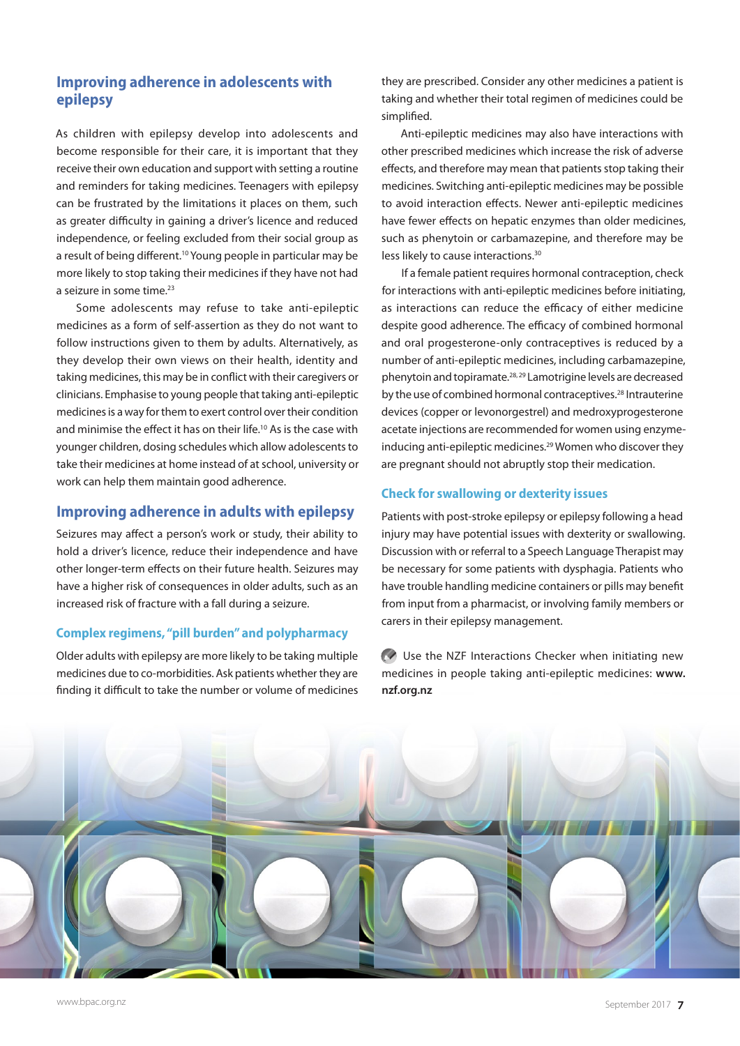# **Improving adherence in adolescents with epilepsy**

As children with epilepsy develop into adolescents and become responsible for their care, it is important that they receive their own education and support with setting a routine and reminders for taking medicines. Teenagers with epilepsy can be frustrated by the limitations it places on them, such as greater difficulty in gaining a driver's licence and reduced independence, or feeling excluded from their social group as a result of being different.10 Young people in particular may be more likely to stop taking their medicines if they have not had a seizure in some time.<sup>23</sup>

Some adolescents may refuse to take anti-epileptic medicines as a form of self-assertion as they do not want to follow instructions given to them by adults. Alternatively, as they develop their own views on their health, identity and taking medicines, this may be in conflict with their caregivers or clinicians. Emphasise to young people that taking anti-epileptic medicines is a way for them to exert control over their condition and minimise the effect it has on their life.<sup>10</sup> As is the case with younger children, dosing schedules which allow adolescents to take their medicines at home instead of at school, university or work can help them maintain good adherence.

# **Improving adherence in adults with epilepsy**

Seizures may affect a person's work or study, their ability to hold a driver's licence, reduce their independence and have other longer-term effects on their future health. Seizures may have a higher risk of consequences in older adults, such as an increased risk of fracture with a fall during a seizure.

## **Complex regimens, "pill burden" and polypharmacy**

Older adults with epilepsy are more likely to be taking multiple medicines due to co-morbidities. Ask patients whether they are finding it difficult to take the number or volume of medicines they are prescribed. Consider any other medicines a patient is taking and whether their total regimen of medicines could be simplified.

Anti-epileptic medicines may also have interactions with other prescribed medicines which increase the risk of adverse effects, and therefore may mean that patients stop taking their medicines. Switching anti-epileptic medicines may be possible to avoid interaction effects. Newer anti-epileptic medicines have fewer effects on hepatic enzymes than older medicines, such as phenytoin or carbamazepine, and therefore may be less likely to cause interactions.30

If a female patient requires hormonal contraception, check for interactions with anti-epileptic medicines before initiating, as interactions can reduce the efficacy of either medicine despite good adherence. The efficacy of combined hormonal and oral progesterone-only contraceptives is reduced by a number of anti-epileptic medicines, including carbamazepine, phenytoin and topiramate.28, 29 Lamotrigine levels are decreased by the use of combined hormonal contraceptives.<sup>28</sup> Intrauterine devices (copper or levonorgestrel) and medroxyprogesterone acetate injections are recommended for women using enzymeinducing anti-epileptic medicines.<sup>29</sup> Women who discover they are pregnant should not abruptly stop their medication.

#### **Check for swallowing or dexterity issues**

Patients with post-stroke epilepsy or epilepsy following a head injury may have potential issues with dexterity or swallowing. Discussion with or referral to a Speech Language Therapist may be necessary for some patients with dysphagia. Patients who have trouble handling medicine containers or pills may benefit from input from a pharmacist, or involving family members or carers in their epilepsy management.

Use the NZF Interactions Checker when initiating new medicines in people taking anti-epileptic medicines: **www. nzf.org.nz**